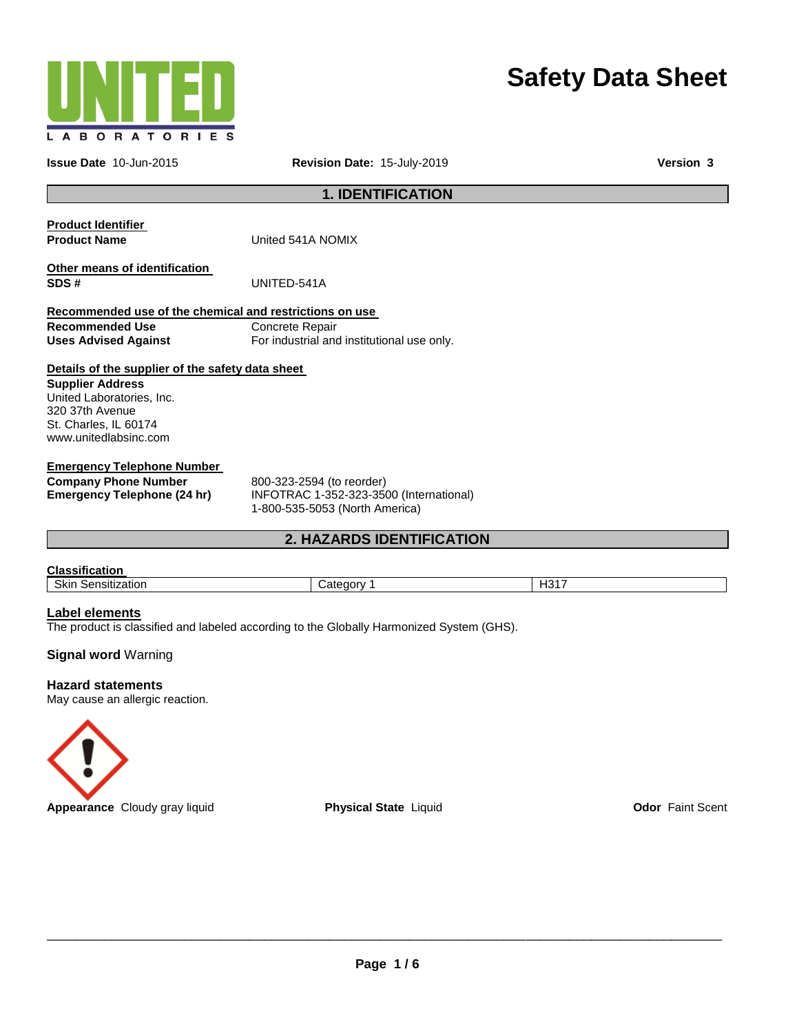

# **Safety Data Sheet**

**Issue Date** 10-Jun-2015 **Revision Date:** 15-July-2019 **Version 3**

**1. IDENTIFICATION** 

| <b>Product Identifier</b><br><b>Product Name</b>        | United 541A NOMIX                          |
|---------------------------------------------------------|--------------------------------------------|
| Other means of identification<br>SDS#                   | UNITED-541A                                |
| Recommended use of the chemical and restrictions on use |                                            |
| <b>Recommended Use</b>                                  | Concrete Repair                            |
| <b>Uses Advised Against</b>                             | For industrial and institutional use only. |
| Details of the supplier of the safety data sheet        |                                            |
| <b>Supplier Address</b>                                 |                                            |
| United Laboratories, Inc.                               |                                            |
| 320 37th Avenue                                         |                                            |
| St. Charles, IL 60174                                   |                                            |
| www.unitedlabsinc.com                                   |                                            |

**Emergency Telephone Number** 

**Company Phone Number** 800-323-2594 (to reorder)<br> **Emergency Telephone (24 hr)** INFOTRAC 1-352-323-350

**Emergency Telephone (24 hr)** INFOTRAC 1-352-323-3500 (International) 1-800-535-5053 (North America)

## **2. HAZARDS IDENTIFICATION**

#### **Classification**

Skin Sensitization **Category 1** Category 1 **H317** 

## **Label elements**

The product is classified and labeled according to the Globally Harmonized System (GHS).

## **Signal word** Warning

#### **Hazard statements**

May cause an allergic reaction.

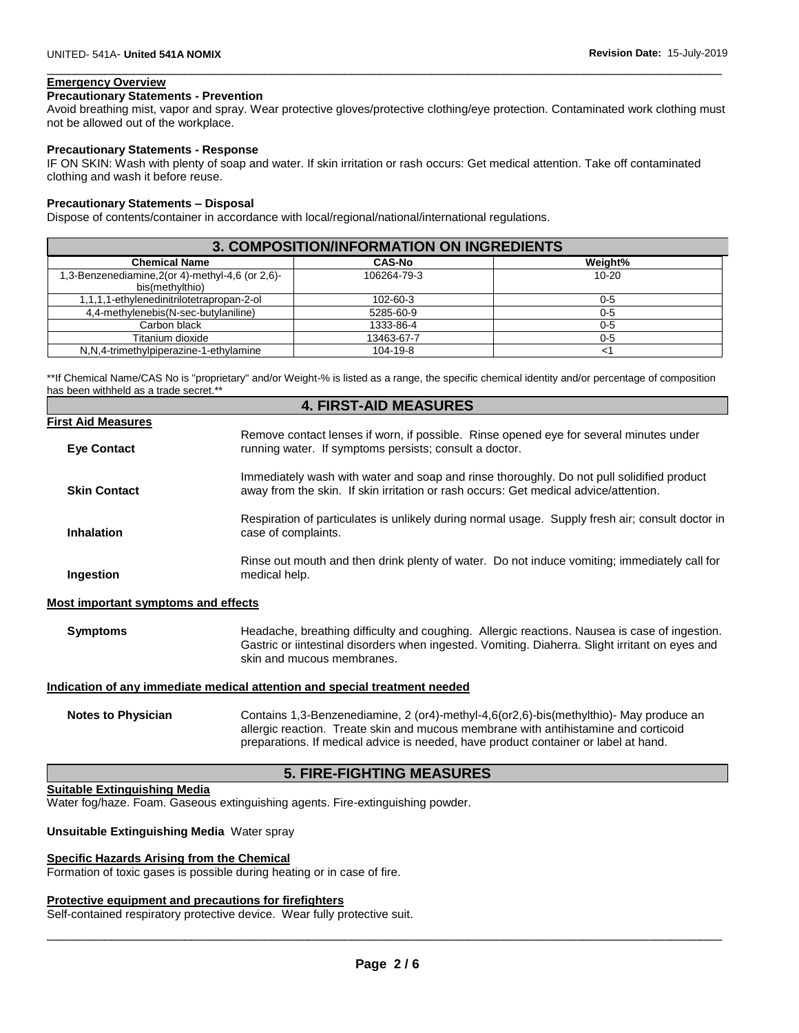## **Emergency Overview**

#### **Precautionary Statements - Prevention**

Avoid breathing mist, vapor and spray. Wear protective gloves/protective clothing/eye protection. Contaminated work clothing must not be allowed out of the workplace.

\_\_\_\_\_\_\_\_\_\_\_\_\_\_\_\_\_\_\_\_\_\_\_\_\_\_\_\_\_\_\_\_\_\_\_\_\_\_\_\_\_\_\_\_\_\_\_\_\_\_\_\_\_\_\_\_\_\_\_\_\_\_\_\_\_\_\_\_\_\_\_\_\_\_\_\_\_\_\_\_\_\_\_\_\_\_\_\_\_\_\_\_\_

#### **Precautionary Statements - Response**

IF ON SKIN: Wash with plenty of soap and water. If skin irritation or rash occurs: Get medical attention. Take off contaminated clothing and wash it before reuse.

#### **Precautionary Statements – Disposal**

Dispose of contents/container in accordance with local/regional/national/international regulations.

| <b>3. COMPOSITION/INFORMATION ON INGREDIENTS</b>                    |               |           |
|---------------------------------------------------------------------|---------------|-----------|
| <b>Chemical Name</b>                                                | <b>CAS-No</b> | Weight%   |
| 1,3-Benzenediamine, 2(or 4)-methyl-4,6 (or 2,6)-<br>bis(methylthio) | 106264-79-3   | $10 - 20$ |
| 1,1,1,1-ethylenedinitrilotetrapropan-2-ol                           | 102-60-3      | $0 - 5$   |
| 4,4-methylenebis(N-sec-butylaniline)                                | 5285-60-9     | $0-5$     |
| Carbon black                                                        | 1333-86-4     | $0-5$     |
| Titanium dioxide                                                    | 13463-67-7    | $0 - 5$   |
| N,N,4-trimethylpiperazine-1-ethylamine                              | 104-19-8      | <1        |

\*\*If Chemical Name/CAS No is "proprietary" and/or Weight-% is listed as a range, the specific chemical identity and/or percentage of composition has been withheld as a trade secret.\*\*

|                           | <b>4. FIRST-AID MEASURES</b>                                                                                                                                                      |
|---------------------------|-----------------------------------------------------------------------------------------------------------------------------------------------------------------------------------|
| <b>First Aid Measures</b> |                                                                                                                                                                                   |
| <b>Eve Contact</b>        | Remove contact lenses if worn, if possible. Rinse opened eye for several minutes under<br>running water. If symptoms persists; consult a doctor.                                  |
| <b>Skin Contact</b>       | Immediately wash with water and soap and rinse thoroughly. Do not pull solidified product<br>away from the skin. If skin irritation or rash occurs: Get medical advice/attention. |
| <b>Inhalation</b>         | Respiration of particulates is unlikely during normal usage. Supply fresh air; consult doctor in<br>case of complaints.                                                           |
| Ingestion                 | Rinse out mouth and then drink plenty of water. Do not induce vomiting; immediately call for<br>medical help.                                                                     |
|                           |                                                                                                                                                                                   |

#### **Most important symptoms and effects**

**Symptoms** Headache, breathing difficulty and coughing. Allergic reactions. Nausea is case of ingestion. Gastric or iintestinal disorders when ingested. Vomiting. Diaherra. Slight irritant on eyes and skin and mucous membranes.

**Indication of any immediate medical attention and special treatment needed**

**Notes to Physician** Contains 1,3-Benzenediamine, 2 (or4)-methyl-4,6(or2,6)-bis(methylthio)- May produce an allergic reaction. Treate skin and mucous membrane with antihistamine and corticoid preparations. If medical advice is needed, have product container or label at hand.

#### **5. FIRE-FIGHTING MEASURES**

#### **Suitable Extinguishing Media**

Water fog/haze. Foam. Gaseous extinguishing agents. Fire-extinguishing powder.

#### **Unsuitable Extinguishing Media** Water spray

#### **Specific Hazards Arising from the Chemical**

Formation of toxic gases is possible during heating or in case of fire.

#### **Protective equipment and precautions for firefighters**

Self-contained respiratory protective device. Wear fully protective suit.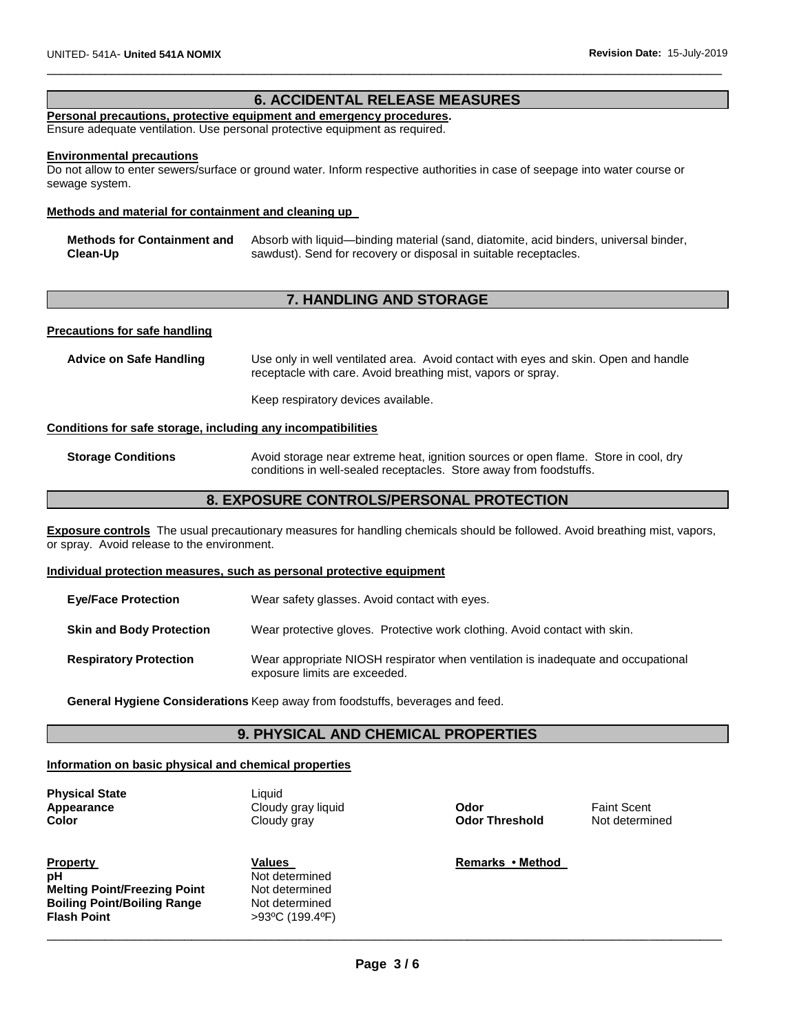## **6. ACCIDENTAL RELEASE MEASURES**

\_\_\_\_\_\_\_\_\_\_\_\_\_\_\_\_\_\_\_\_\_\_\_\_\_\_\_\_\_\_\_\_\_\_\_\_\_\_\_\_\_\_\_\_\_\_\_\_\_\_\_\_\_\_\_\_\_\_\_\_\_\_\_\_\_\_\_\_\_\_\_\_\_\_\_\_\_\_\_\_\_\_\_\_\_\_\_\_\_\_\_\_\_

#### **Personal precautions, protective equipment and emergency procedures.**

Ensure adequate ventilation. Use personal protective equipment as required.

#### **Environmental precautions**

Do not allow to enter sewers/surface or ground water. Inform respective authorities in case of seepage into water course or sewage system.

#### **Methods and material for containment and cleaning up**

| Methods for Containment and | Absorb with liquid—binding material (sand, diatomite, acid binders, universal binder, |
|-----------------------------|---------------------------------------------------------------------------------------|
| Clean-Up                    | sawdust). Send for recovery or disposal in suitable receptacles.                      |

## **7. HANDLING AND STORAGE**

#### **Precautions for safe handling**

**Advice on Safe Handling** Use only in well ventilated area. Avoid contact with eyes and skin. Open and handle receptacle with care. Avoid breathing mist, vapors or spray.

Keep respiratory devices available.

#### **Conditions for safe storage, including any incompatibilities**

**Storage Conditions** Avoid storage near extreme heat, ignition sources or open flame. Store in cool, dry conditions in well-sealed receptacles. Store away from foodstuffs.

## **8. EXPOSURE CONTROLS/PERSONAL PROTECTION**

**Exposure controls** The usual precautionary measures for handling chemicals should be followed. Avoid breathing mist, vapors, or spray. Avoid release to the environment.

#### **Individual protection measures, such as personal protective equipment**

| <b>Eve/Face Protection</b>      | Wear safety glasses. Avoid contact with eyes.                                                                      |
|---------------------------------|--------------------------------------------------------------------------------------------------------------------|
| <b>Skin and Body Protection</b> | Wear protective gloves. Protective work clothing. Avoid contact with skin.                                         |
| <b>Respiratory Protection</b>   | Wear appropriate NIOSH respirator when ventilation is inadequate and occupational<br>exposure limits are exceeded. |

**General Hygiene Considerations** Keep away from foodstuffs, beverages and feed.

## **9. PHYSICAL AND CHEMICAL PROPERTIES**

## **Information on basic physical and chemical properties**

**Physical State** Liquid

**Property Values Remarks • Method <b>Property Remarks** • Method **Remarks** • Method **pH** Not determined<br> **Melting Point/Freezing Point** Not determined **Melting Point/Freezing Point Not determined**<br> **Boiling Point/Boiling Range** Not determined **Boiling Point/Boiling Range Flash Point** >93ºC (199.4ºF)

**Appearance** Cloudy gray liquid **Odor** Faint Scent **Color Color Cloudy gray Cloudy gray Cloudy and Cloudy State Color Threshold** Not determined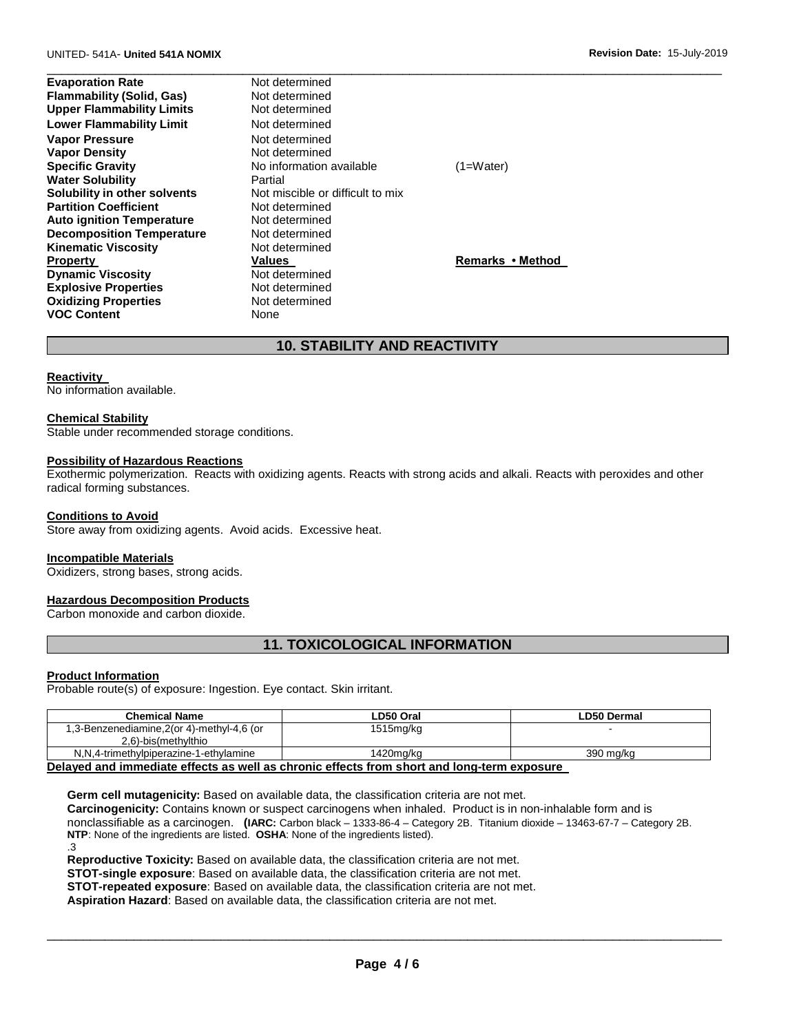#### UNITED- 541A- **United 541A NOMIX Revision Date:** 15-July-2019

**Evaporation Rate Not determined Flammability (Solid, Gas)** Not determined **Upper Flammability Limits** Not determined **Lower Flammability Limit** Not determined **Vapor Pressure Not determined Vapor Density Not determined Water Solubility** <br> **Partial** Partial **Solubility in other solvents**<br>
Not miscible or difficult to mix **Solubility in other solvents Not miscible or Motelland Coefficient Partition Coefficient Partition Coefficient Auto ignition Temperature** Not determined **Decomposition Temperature** Not determined **Kinematic Viscosity Not determined Dynamic Viscosity Not determined Explosive Properties Not determined**<br> **Oxidizing Properties Not determined Oxidizing Properties 1996** Not determined the Not determined the None **VOC Content** 

**Specific Gravity No information available** (1=Water) **Property Construction Construction Called Values Remarks • Method** 

\_\_\_\_\_\_\_\_\_\_\_\_\_\_\_\_\_\_\_\_\_\_\_\_\_\_\_\_\_\_\_\_\_\_\_\_\_\_\_\_\_\_\_\_\_\_\_\_\_\_\_\_\_\_\_\_\_\_\_\_\_\_\_\_\_\_\_\_\_\_\_\_\_\_\_\_\_\_\_\_\_\_\_\_\_\_\_\_\_\_\_\_\_

## **10. STABILITY AND REACTIVITY**

#### **Reactivity**

No information available.

#### **Chemical Stability**

Stable under recommended storage conditions.

#### **Possibility of Hazardous Reactions**

Exothermic polymerization. Reacts with oxidizing agents. Reacts with strong acids and alkali. Reacts with peroxides and other radical forming substances.

#### **Conditions to Avoid**

Store away from oxidizing agents. Avoid acids. Excessive heat.

#### **Incompatible Materials**

Oxidizers, strong bases, strong acids.

### **Hazardous Decomposition Products**

Carbon monoxide and carbon dioxide.

## **11. TOXICOLOGICAL INFORMATION**

#### **Product Information**

Probable route(s) of exposure: Ingestion. Eye contact. Skin irritant.

| <b>Chemical Name</b>                      | LD50 Oral | LD50 Dermal |
|-------------------------------------------|-----------|-------------|
| 1,3-Benzenediamine,2(or 4)-methyl-4,6 (or | 1515mg/kg |             |
| 2,6)-bis(methylthio                       |           |             |
| N,N,4-trimethylpiperazine-1-ethylamine    | 1420ma/ka | 390 ma/ka   |

#### **Delayed and immediate effects as well as chronic effects from short and long-term exposure**

**Germ cell mutagenicity:** Based on available data, the classification criteria are not met.

**Carcinogenicity:** Contains known or suspect carcinogens when inhaled. Product is in non-inhalable form and is

nonclassifiable as a carcinogen. **(IARC:** Carbon black – 1333-86-4 – Category 2B. Titanium dioxide – 13463-67-7 – Category 2B. **NTP**: None of the ingredients are listed. **OSHA**: None of the ingredients listed).

.3

**Reproductive Toxicity:** Based on available data, the classification criteria are not met.

**STOT-single exposure**: Based on available data, the classification criteria are not met.

**STOT-repeated exposure**: Based on available data, the classification criteria are not met.

**Aspiration Hazard**: Based on available data, the classification criteria are not met.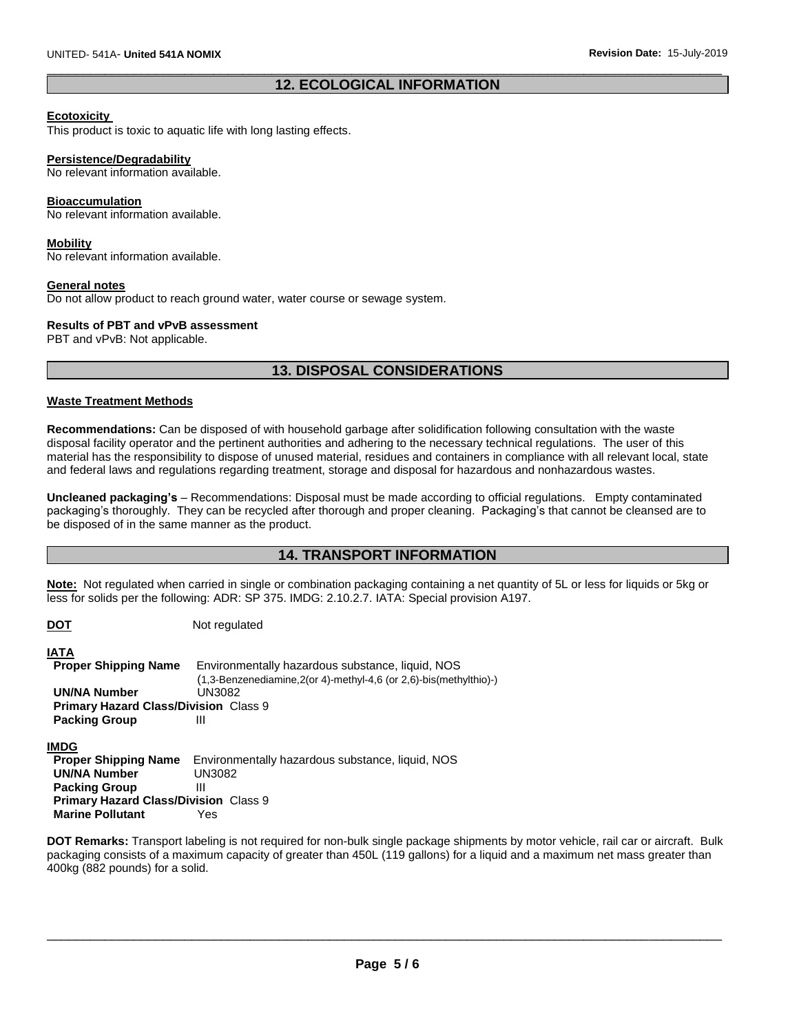## \_\_\_\_\_\_\_\_\_\_\_\_\_\_\_\_\_\_\_\_\_\_\_\_\_\_\_\_\_\_\_\_\_\_\_\_\_\_\_\_\_\_\_\_\_\_\_\_\_\_\_\_\_\_\_\_\_\_\_\_\_\_\_\_\_\_\_\_\_\_\_\_\_\_\_\_\_\_\_\_\_\_\_\_\_\_\_\_\_\_\_\_\_ **12. ECOLOGICAL INFORMATION**

#### **Ecotoxicity**

This product is toxic to aquatic life with long lasting effects.

#### **Persistence/Degradability**

No relevant information available.

## **Bioaccumulation**

No relevant information available.

#### **Mobility**

No relevant information available.

#### **General notes**

Do not allow product to reach ground water, water course or sewage system.

#### **Results of PBT and vPvB assessment**

PBT and vPvB: Not applicable.

## **13. DISPOSAL CONSIDERATIONS**

## **Waste Treatment Methods**

**Recommendations:** Can be disposed of with household garbage after solidification following consultation with the waste disposal facility operator and the pertinent authorities and adhering to the necessary technical regulations. The user of this material has the responsibility to dispose of unused material, residues and containers in compliance with all relevant local, state and federal laws and regulations regarding treatment, storage and disposal for hazardous and nonhazardous wastes.

**Uncleaned packaging's** – Recommendations: Disposal must be made according to official regulations. Empty contaminated packaging's thoroughly. They can be recycled after thorough and proper cleaning. Packaging's that cannot be cleansed are to be disposed of in the same manner as the product.

## **14. TRANSPORT INFORMATION**

**Note:** Not regulated when carried in single or combination packaging containing a net quantity of 5L or less for liquids or 5kg or less for solids per the following: ADR: SP 375. IMDG: 2.10.2.7. IATA: Special provision A197.

| <u>DOT</u>                                   | Not regulated                                                                 |
|----------------------------------------------|-------------------------------------------------------------------------------|
| IATA                                         |                                                                               |
| <b>Proper Shipping Name</b>                  | Environmentally hazardous substance, liquid, NOS                              |
|                                              | $(1,3$ -Benzenediamine, $2$ (or 4)-methyl-4, 6 (or $2,6$ )-bis (methylthio)-) |
| UN/NA Number                                 | UN3082                                                                        |
| <b>Primary Hazard Class/Division Class 9</b> |                                                                               |
| <b>Packing Group</b>                         | Ш                                                                             |
| <b>IMDG</b>                                  |                                                                               |
| <b>Proper Shipping Name</b>                  | Environmentally hazardous substance, liquid, NOS                              |
| <b>UN/NA Number</b>                          | <b>UN3082</b>                                                                 |
| <b>Packing Group</b>                         | Ш                                                                             |
| <b>Primary Hazard Class/Division Class 9</b> |                                                                               |
| <b>Marine Pollutant</b>                      | Yes                                                                           |

**DOT Remarks:** Transport labeling is not required for non-bulk single package shipments by motor vehicle, rail car or aircraft. Bulk packaging consists of a maximum capacity of greater than 450L (119 gallons) for a liquid and a maximum net mass greater than 400kg (882 pounds) for a solid.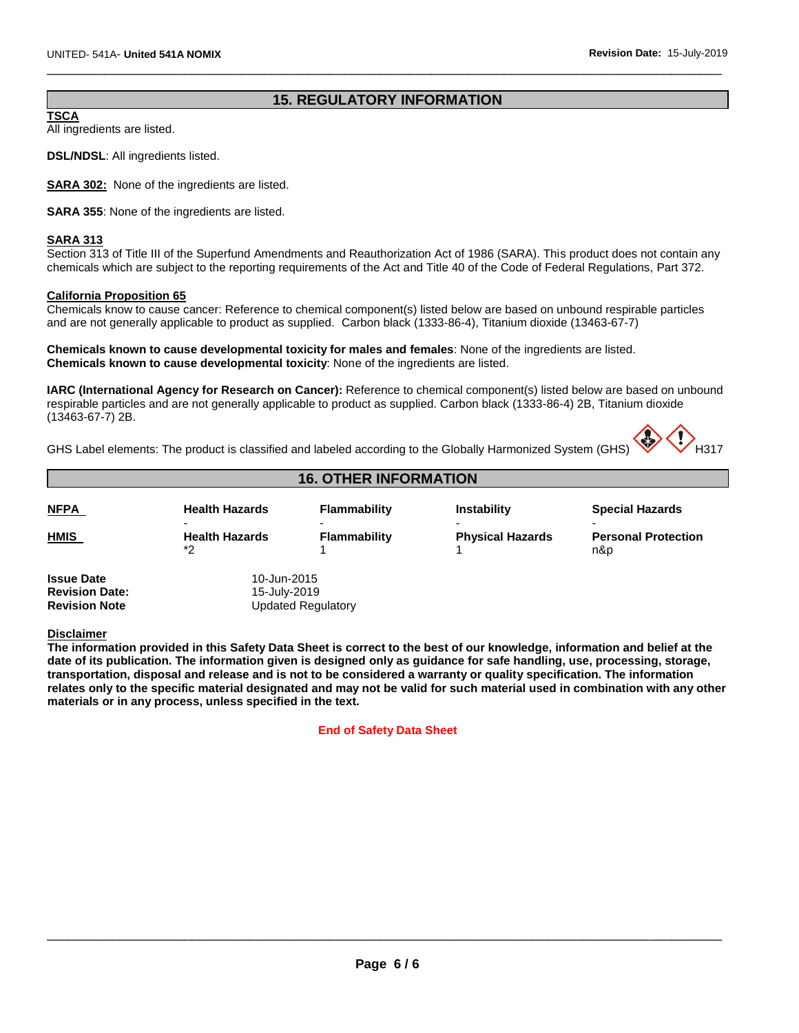## **15. REGULATORY INFORMATION**

\_\_\_\_\_\_\_\_\_\_\_\_\_\_\_\_\_\_\_\_\_\_\_\_\_\_\_\_\_\_\_\_\_\_\_\_\_\_\_\_\_\_\_\_\_\_\_\_\_\_\_\_\_\_\_\_\_\_\_\_\_\_\_\_\_\_\_\_\_\_\_\_\_\_\_\_\_\_\_\_\_\_\_\_\_\_\_\_\_\_\_\_\_

#### **TSCA**

All ingredients are listed.

**DSL/NDSL**: All ingredients listed.

**SARA 302:** None of the ingredients are listed.

**SARA 355**: None of the ingredients are listed.

#### **SARA 313**

Section 313 of Title III of the Superfund Amendments and Reauthorization Act of 1986 (SARA). This product does not contain any chemicals which are subject to the reporting requirements of the Act and Title 40 of the Code of Federal Regulations, Part 372.

#### **California Proposition 65**

Chemicals know to cause cancer: Reference to chemical component(s) listed below are based on unbound respirable particles and are not generally applicable to product as supplied. Carbon black (1333-86-4), Titanium dioxide (13463-67-7)

**Chemicals known to cause developmental toxicity for males and females**: None of the ingredients are listed. **Chemicals known to cause developmental toxicity**: None of the ingredients are listed.

**IARC (International Agency for Research on Cancer):** Reference to chemical component(s) listed below are based on unbound respirable particles and are not generally applicable to product as supplied. Carbon black (1333-86-4) 2B, Titanium dioxide (13463-67-7) 2B.

GHS Label elements: The product is classified and labeled according to the Globally Harmonized System (GHS)



## **16. OTHER INFORMATION**

| <b>NFPA</b> | <b>Health Hazards</b>        | Flammability        | <b>Instability</b>                                  | <b>Special Hazards</b>            |
|-------------|------------------------------|---------------------|-----------------------------------------------------|-----------------------------------|
| <u>HMIS</u> | <b>Health Hazards</b><br>$*$ | <b>Flammability</b> | $\overline{\phantom{0}}$<br><b>Physical Hazards</b> | <b>Personal Protection</b><br>n&p |

**Issue Date** 10-Jun-2015 **Revision Date:** 15-July-2019 **Updated Regulatory** 

**Disclaimer**

**The information provided in this Safety Data Sheet is correct to the best of our knowledge, information and belief at the date of its publication. The information given is designed only as guidance for safe handling, use, processing, storage, transportation, disposal and release and is not to be considered a warranty or quality specification. The information relates only to the specific material designated and may not be valid for such material used in combination with any other materials or in any process, unless specified in the text.** 

#### **End of Safety Data Sheet**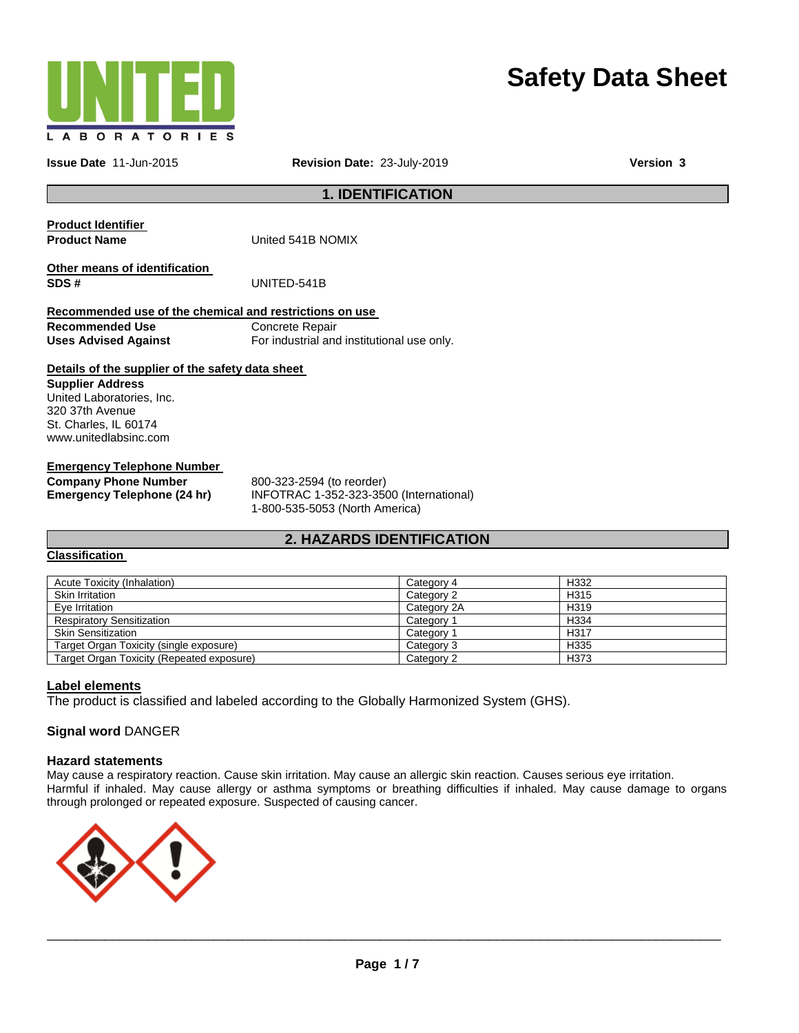

# **Safety Data Sheet**

**Issue Date** 11-Jun-2015 **Revision Date:** 23-July-2019 **Version 3**

**1. IDENTIFICATION** 

| <b>Product Identifier</b><br><b>Product Name</b>        | United 541B NOMIX                          |
|---------------------------------------------------------|--------------------------------------------|
| Other means of identification<br>SDS#                   | UNITED-541B                                |
| Recommended use of the chemical and restrictions on use |                                            |
| <b>Recommended Use</b>                                  | Concrete Repair                            |
| <b>Uses Advised Against</b>                             | For industrial and institutional use only. |
| Datails of the supplier of the safety data sheet        |                                            |

#### **Details of the supplier of the safety data sheet**

**Supplier Address** United Laboratories, Inc. 320 37th Avenue St. Charles, IL 60174 www.unitedlabsinc.com

## **Emergency Telephone Number**

**Company Phone Number** 800-323-2594 (to reorder)

**Emergency Telephone (24 hr)** INFOTRAC 1-352-323-3500 (International) 1-800-535-5053 (North America)

## **2. HAZARDS IDENTIFICATION**

#### **Classification**

| Acute Toxicity (Inhalation)               | Category 4  | H332             |
|-------------------------------------------|-------------|------------------|
| <b>Skin Irritation</b>                    | Category 2  | H <sub>315</sub> |
| Eve Irritation                            | Category 2A | H <sub>319</sub> |
| <b>Respiratory Sensitization</b>          | Category 1  | H334             |
| <b>Skin Sensitization</b>                 | Category 1  | H317             |
| Target Organ Toxicity (single exposure)   | Category 3  | H335             |
| Target Organ Toxicity (Repeated exposure) | Category 2  | H373             |

#### **Label elements**

The product is classified and labeled according to the Globally Harmonized System (GHS).

#### **Signal word** DANGER

#### **Hazard statements**

May cause a respiratory reaction. Cause skin irritation. May cause an allergic skin reaction. Causes serious eye irritation. Harmful if inhaled. May cause allergy or asthma symptoms or breathing difficulties if inhaled. May cause damage to organs through prolonged or repeated exposure. Suspected of causing cancer.

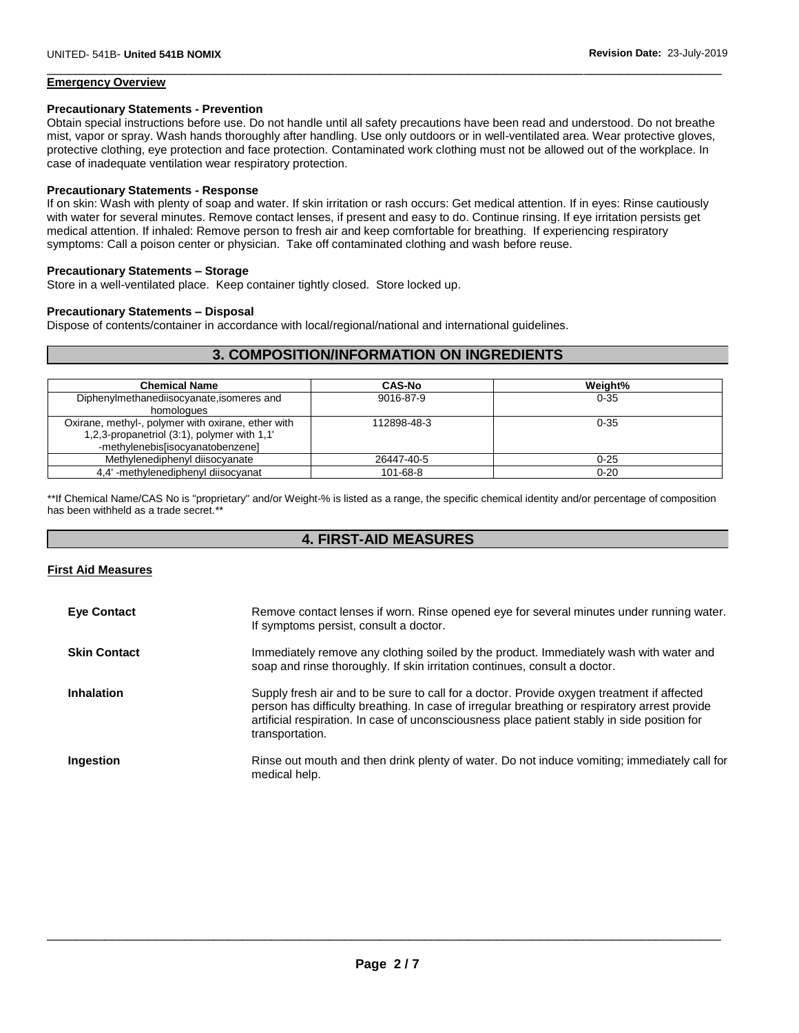#### **Emergency Overview**

#### **Precautionary Statements - Prevention**

Obtain special instructions before use. Do not handle until all safety precautions have been read and understood. Do not breathe mist, vapor or spray. Wash hands thoroughly after handling. Use only outdoors or in well-ventilated area. Wear protective gloves, protective clothing, eye protection and face protection. Contaminated work clothing must not be allowed out of the workplace. In case of inadequate ventilation wear respiratory protection.

\_\_\_\_\_\_\_\_\_\_\_\_\_\_\_\_\_\_\_\_\_\_\_\_\_\_\_\_\_\_\_\_\_\_\_\_\_\_\_\_\_\_\_\_\_\_\_\_\_\_\_\_\_\_\_\_\_\_\_\_\_\_\_\_\_\_\_\_\_\_\_\_\_\_\_\_\_\_\_\_\_\_\_\_\_\_\_\_\_\_\_\_\_

#### **Precautionary Statements - Response**

If on skin: Wash with plenty of soap and water. If skin irritation or rash occurs: Get medical attention. If in eyes: Rinse cautiously with water for several minutes. Remove contact lenses, if present and easy to do. Continue rinsing. If eye irritation persists get medical attention. If inhaled: Remove person to fresh air and keep comfortable for breathing. If experiencing respiratory symptoms: Call a poison center or physician. Take off contaminated clothing and wash before reuse.

#### **Precautionary Statements – Storage**

Store in a well-ventilated place. Keep container tightly closed. Store locked up.

#### **Precautionary Statements – Disposal**

Dispose of contents/container in accordance with local/regional/national and international guidelines.

## **3. COMPOSITION/INFORMATION ON INGREDIENTS**

| <b>Chemical Name</b>                               | CAS-No         | Weight%  |
|----------------------------------------------------|----------------|----------|
| Diphenylmethanediisocyanate, isomeres and          | 9016-87-9      | $0 - 35$ |
| homologues                                         |                |          |
| Oxirane, methyl-, polymer with oxirane, ether with | 112898-48-3    | $0 - 35$ |
| 1,2,3-propanetriol (3:1), polymer with 1,1'        |                |          |
| -methylenebis[isocyanatobenzene]                   |                |          |
| Methylenediphenyl diisocyanate                     | 26447-40-5     | 0-25     |
| 4.4' -methylenediphenyl diisocyanat                | $101 - 68 - 8$ | $0 - 20$ |

\*\*If Chemical Name/CAS No is "proprietary" and/or Weight-% is listed as a range, the specific chemical identity and/or percentage of composition has been withheld as a trade secret.\*\*

## **4. FIRST-AID MEASURES**

#### **First Aid Measures**

| <b>Eve Contact</b>  | Remove contact lenses if worn. Rinse opened eye for several minutes under running water.<br>If symptoms persist, consult a doctor.                                                                                                                                                                             |
|---------------------|----------------------------------------------------------------------------------------------------------------------------------------------------------------------------------------------------------------------------------------------------------------------------------------------------------------|
| <b>Skin Contact</b> | Immediately remove any clothing soiled by the product. Immediately wash with water and<br>soap and rinse thoroughly. If skin irritation continues, consult a doctor.                                                                                                                                           |
| Inhalation          | Supply fresh air and to be sure to call for a doctor. Provide oxygen treatment if affected<br>person has difficulty breathing. In case of irregular breathing or respiratory arrest provide<br>artificial respiration. In case of unconsciousness place patient stably in side position for<br>transportation. |
| Ingestion           | Rinse out mouth and then drink plenty of water. Do not induce vomiting; immediately call for<br>medical help.                                                                                                                                                                                                  |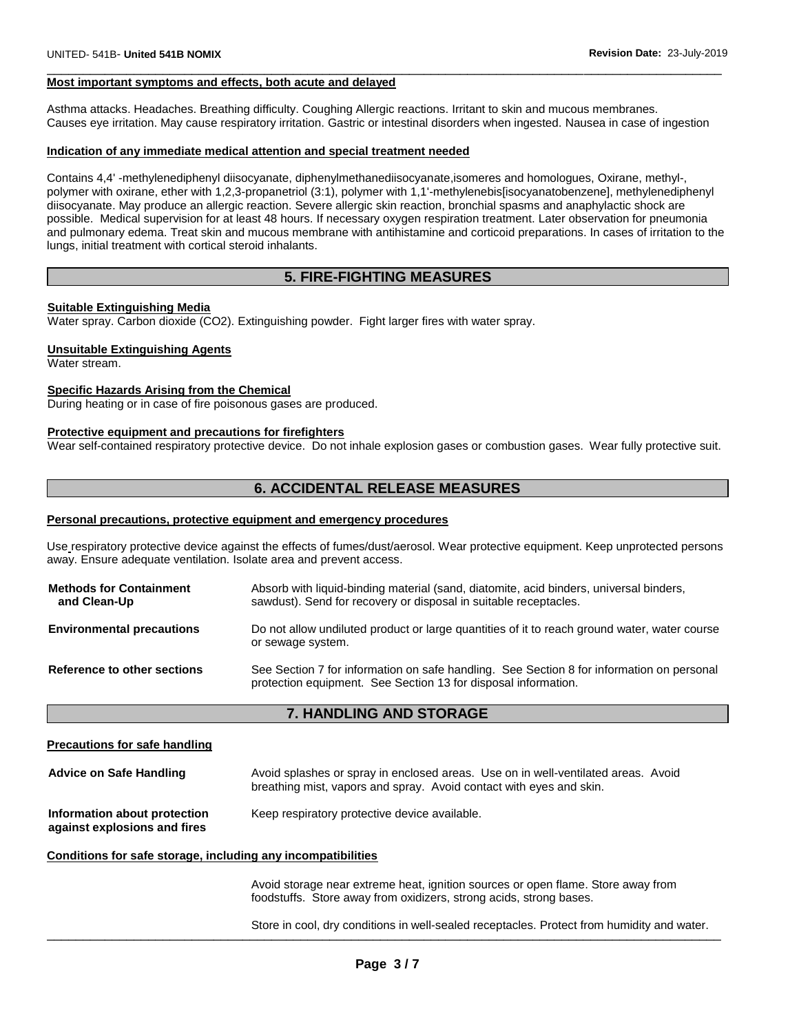#### **Most important symptoms and effects, both acute and delayed**

Asthma attacks. Headaches. Breathing difficulty. Coughing Allergic reactions. Irritant to skin and mucous membranes. Causes eye irritation. May cause respiratory irritation. Gastric or intestinal disorders when ingested. Nausea in case of ingestion

\_\_\_\_\_\_\_\_\_\_\_\_\_\_\_\_\_\_\_\_\_\_\_\_\_\_\_\_\_\_\_\_\_\_\_\_\_\_\_\_\_\_\_\_\_\_\_\_\_\_\_\_\_\_\_\_\_\_\_\_\_\_\_\_\_\_\_\_\_\_\_\_\_\_\_\_\_\_\_\_\_\_\_\_\_\_\_\_\_\_\_\_\_

#### **Indication of any immediate medical attention and special treatment needed**

Contains 4,4' -methylenediphenyl diisocyanate, diphenylmethanediisocyanate,isomeres and homologues, Oxirane, methyl-, polymer with oxirane, ether with 1,2,3-propanetriol (3:1), polymer with 1,1'-methylenebis[isocyanatobenzene], methylenediphenyl diisocyanate. May produce an allergic reaction. Severe allergic skin reaction, bronchial spasms and anaphylactic shock are possible. Medical supervision for at least 48 hours. If necessary oxygen respiration treatment. Later observation for pneumonia and pulmonary edema. Treat skin and mucous membrane with antihistamine and corticoid preparations. In cases of irritation to the lungs, initial treatment with cortical steroid inhalants.

## **5. FIRE-FIGHTING MEASURES**

#### **Suitable Extinguishing Media**

Water spray. Carbon dioxide (CO2). Extinguishing powder. Fight larger fires with water spray.

#### **Unsuitable Extinguishing Agents**

Water stream.

#### **Specific Hazards Arising from the Chemical**

During heating or in case of fire poisonous gases are produced.

#### **Protective equipment and precautions for firefighters**

Wear self-contained respiratory protective device. Do not inhale explosion gases or combustion gases. Wear fully protective suit.

## **6. ACCIDENTAL RELEASE MEASURES**

#### **Personal precautions, protective equipment and emergency procedures**

Use respiratory protective device against the effects of fumes/dust/aerosol. Wear protective equipment. Keep unprotected persons away. Ensure adequate ventilation. Isolate area and prevent access.

| <b>Methods for Containment</b><br>and Clean-Up | Absorb with liquid-binding material (sand, diatomite, acid binders, universal binders,<br>sawdust). Send for recovery or disposal in suitable receptacles.  |
|------------------------------------------------|-------------------------------------------------------------------------------------------------------------------------------------------------------------|
| <b>Environmental precautions</b>               | Do not allow undiluted product or large quantities of it to reach ground water, water course<br>or sewage system.                                           |
| Reference to other sections                    | See Section 7 for information on safe handling. See Section 8 for information on personal<br>protection equipment. See Section 13 for disposal information. |

## **7. HANDLING AND STORAGE**

#### **Precautions for safe handling**

| <b>Advice on Safe Handling</b>                               | Avoid splashes or spray in enclosed areas. Use on in well-ventilated areas. Avoid<br>breathing mist, vapors and spray. Avoid contact with eyes and skin. |
|--------------------------------------------------------------|----------------------------------------------------------------------------------------------------------------------------------------------------------|
| Information about protection<br>against explosions and fires | Keep respiratory protective device available.                                                                                                            |

#### **Conditions for safe storage, including any incompatibilities**

Avoid storage near extreme heat, ignition sources or open flame. Store away from foodstuffs. Store away from oxidizers, strong acids, strong bases.

\_\_\_\_\_\_\_\_\_\_\_\_\_\_\_\_\_\_\_\_\_\_\_\_\_\_\_\_\_\_\_\_\_\_\_\_\_\_\_\_\_\_\_\_\_\_\_\_\_\_\_\_\_\_\_\_\_\_\_\_\_\_\_\_\_\_\_\_\_\_\_\_\_\_\_\_\_\_\_\_\_\_\_\_\_\_\_\_\_\_\_\_\_ Store in cool, dry conditions in well-sealed receptacles. Protect from humidity and water.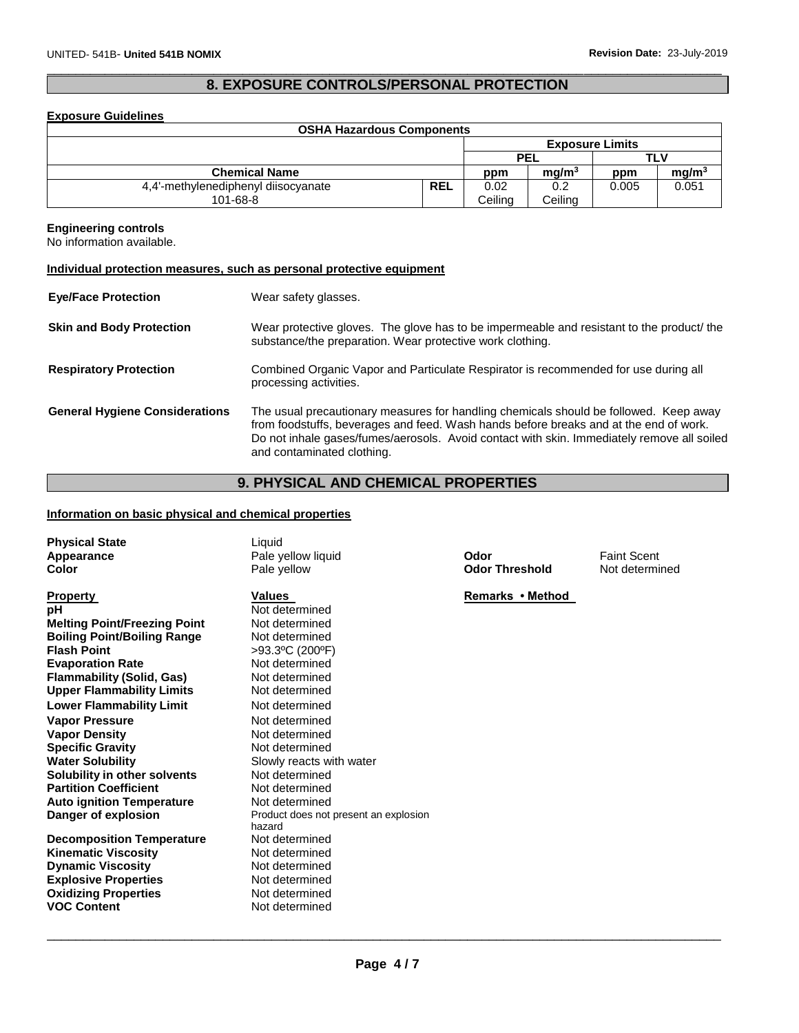## \_\_\_\_\_\_\_\_\_\_\_\_\_\_\_\_\_\_\_\_\_\_\_\_\_\_\_\_\_\_\_\_\_\_\_\_\_\_\_\_\_\_\_\_\_\_\_\_\_\_\_\_\_\_\_\_\_\_\_\_\_\_\_\_\_\_\_\_\_\_\_\_\_\_\_\_\_\_\_\_\_\_\_\_\_\_\_\_\_\_\_\_\_ **8. EXPOSURE CONTROLS/PERSONAL PROTECTION**

#### **Exposure Guidelines**

| <b>OSHA Hazardous Components</b>    |            |            |                        |       |                   |
|-------------------------------------|------------|------------|------------------------|-------|-------------------|
|                                     |            |            | <b>Exposure Limits</b> |       |                   |
|                                     |            | <b>PEL</b> |                        |       | TLV               |
| <b>Chemical Name</b>                |            | ppm        | mq/m <sup>3</sup>      | ppm   | mg/m <sup>3</sup> |
| 4,4'-methylenediphenyl diisocyanate | <b>REL</b> | 0.02       | 0.2                    | 0.005 | 0.051             |
| 101-68-8                            |            | Ceiling    | Ceiling                |       |                   |

#### **Engineering controls**

No information available.

#### **Individual protection measures, such as personal protective equipment**

| <b>Eye/Face Protection</b>            | Wear safety glasses.                                                                                                                                                                                                                                                                                       |
|---------------------------------------|------------------------------------------------------------------------------------------------------------------------------------------------------------------------------------------------------------------------------------------------------------------------------------------------------------|
| <b>Skin and Body Protection</b>       | Wear protective gloves. The glove has to be impermeable and resistant to the product/ the<br>substance/the preparation. Wear protective work clothing.                                                                                                                                                     |
| <b>Respiratory Protection</b>         | Combined Organic Vapor and Particulate Respirator is recommended for use during all<br>processing activities.                                                                                                                                                                                              |
| <b>General Hygiene Considerations</b> | The usual precautionary measures for handling chemicals should be followed. Keep away<br>from foodstuffs, beverages and feed. Wash hands before breaks and at the end of work.<br>Do not inhale gases/fumes/aerosols. Avoid contact with skin. Immediately remove all soiled<br>and contaminated clothing. |

## **9. PHYSICAL AND CHEMICAL PROPERTIES**

## **Information on basic physical and chemical properties**

| <b>Physical State</b><br>Appearance<br>Color                                                                                                                                                                                                                                                                                                                                                                                                                                                                                                                                                                                  | Liquid<br>Pale yellow liquid<br>Pale yellow                                                                                                                                                                                                                                                                                                                                                                                       | Odor<br><b>Odor Threshold</b> | <b>Faint Scent</b><br>Not determined |
|-------------------------------------------------------------------------------------------------------------------------------------------------------------------------------------------------------------------------------------------------------------------------------------------------------------------------------------------------------------------------------------------------------------------------------------------------------------------------------------------------------------------------------------------------------------------------------------------------------------------------------|-----------------------------------------------------------------------------------------------------------------------------------------------------------------------------------------------------------------------------------------------------------------------------------------------------------------------------------------------------------------------------------------------------------------------------------|-------------------------------|--------------------------------------|
| <b>Property</b><br>рH<br><b>Melting Point/Freezing Point</b><br><b>Boiling Point/Boiling Range</b><br><b>Flash Point</b><br><b>Evaporation Rate</b><br><b>Flammability (Solid, Gas)</b><br><b>Upper Flammability Limits</b><br><b>Lower Flammability Limit</b><br><b>Vapor Pressure</b><br><b>Vapor Density</b><br><b>Specific Gravity</b><br><b>Water Solubility</b><br>Solubility in other solvents<br><b>Partition Coefficient</b><br><b>Auto ignition Temperature</b><br>Danger of explosion<br><b>Decomposition Temperature</b><br><b>Kinematic Viscosity</b><br><b>Dynamic Viscosity</b><br><b>Explosive Properties</b> | <b>Values</b><br>Not determined<br>Not determined<br>Not determined<br>>93.3°C (200°F)<br>Not determined<br>Not determined<br>Not determined<br>Not determined<br>Not determined<br>Not determined<br>Not determined<br>Slowly reacts with water<br>Not determined<br>Not determined<br>Not determined<br>Product does not present an explosion<br>hazard<br>Not determined<br>Not determined<br>Not determined<br>Not determined | Remarks • Method              |                                      |
| <b>Oxidizing Properties</b><br><b>VOC Content</b>                                                                                                                                                                                                                                                                                                                                                                                                                                                                                                                                                                             | Not determined<br>Not determined                                                                                                                                                                                                                                                                                                                                                                                                  |                               |                                      |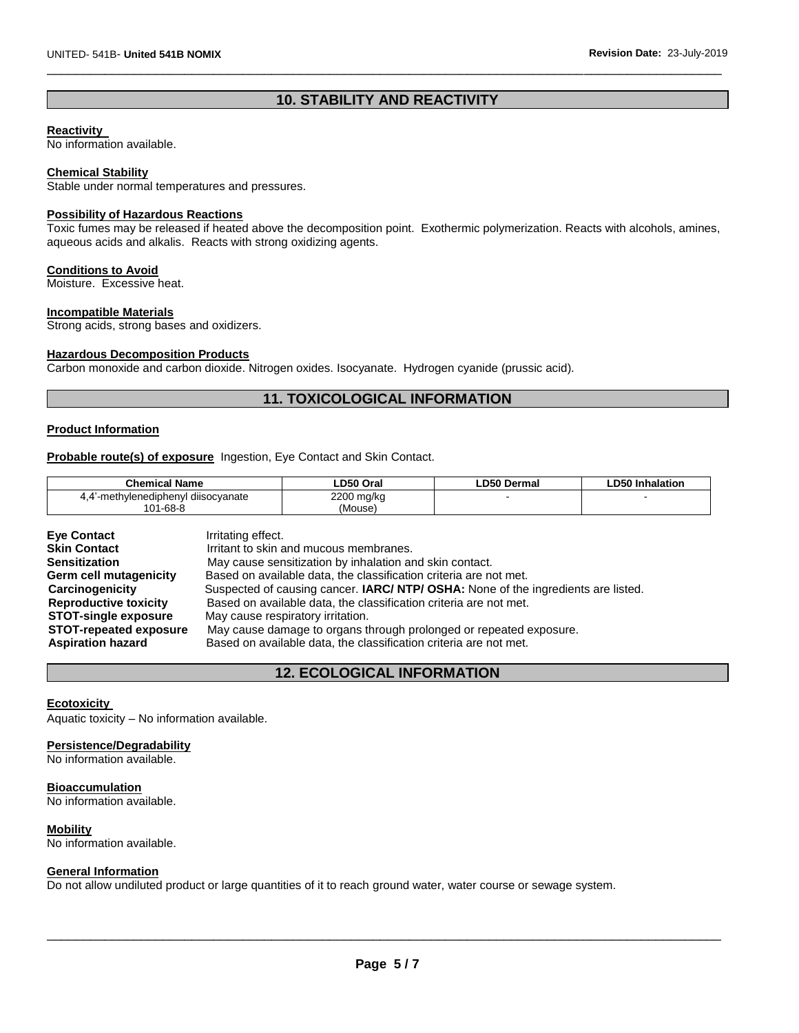## **10. STABILITY AND REACTIVITY**

\_\_\_\_\_\_\_\_\_\_\_\_\_\_\_\_\_\_\_\_\_\_\_\_\_\_\_\_\_\_\_\_\_\_\_\_\_\_\_\_\_\_\_\_\_\_\_\_\_\_\_\_\_\_\_\_\_\_\_\_\_\_\_\_\_\_\_\_\_\_\_\_\_\_\_\_\_\_\_\_\_\_\_\_\_\_\_\_\_\_\_\_\_

## **Reactivity**

No information available.

#### **Chemical Stability**

Stable under normal temperatures and pressures.

#### **Possibility of Hazardous Reactions**

Toxic fumes may be released if heated above the decomposition point. Exothermic polymerization. Reacts with alcohols, amines, aqueous acids and alkalis. Reacts with strong oxidizing agents.

#### **Conditions to Avoid**

Moisture. Excessive heat.

#### **Incompatible Materials**

Strong acids, strong bases and oxidizers.

#### **Hazardous Decomposition Products**

Carbon monoxide and carbon dioxide. Nitrogen oxides. Isocyanate. Hydrogen cyanide (prussic acid).

## **11. TOXICOLOGICAL INFORMATION**

#### **Product Information**

**Probable route(s) of exposure** Ingestion, Eye Contact and Skin Contact.

| <b>Chemical Name</b>               | LD50 Oral  | <b>LD50 Dermal</b> | LD50 Inhalation |
|------------------------------------|------------|--------------------|-----------------|
| 4.4 methylenediphenyl diisocyanate | 2200 mg/kg |                    |                 |
| 101-68-8                           | (Mouse)    |                    |                 |

| <b>Eve Contact</b>            | Irritating effect.                                                                       |
|-------------------------------|------------------------------------------------------------------------------------------|
| <b>Skin Contact</b>           | Irritant to skin and mucous membranes.                                                   |
| <b>Sensitization</b>          | May cause sensitization by inhalation and skin contact.                                  |
| Germ cell mutagenicity        | Based on available data, the classification criteria are not met.                        |
| Carcinogenicity               | Suspected of causing cancer. <b>IARC/ NTP/ OSHA:</b> None of the ingredients are listed. |
| <b>Reproductive toxicity</b>  | Based on available data, the classification criteria are not met.                        |
| <b>STOT-single exposure</b>   | May cause respiratory irritation.                                                        |
| <b>STOT-repeated exposure</b> | May cause damage to organs through prolonged or repeated exposure.                       |
| <b>Aspiration hazard</b>      | Based on available data, the classification criteria are not met.                        |

## **12. ECOLOGICAL INFORMATION**

## **Ecotoxicity**

Aquatic toxicity – No information available.

#### **Persistence/Degradability**

No information available.

#### **Bioaccumulation**

No information available.

#### **Mobility**

No information available.

#### **General Information**

Do not allow undiluted product or large quantities of it to reach ground water, water course or sewage system.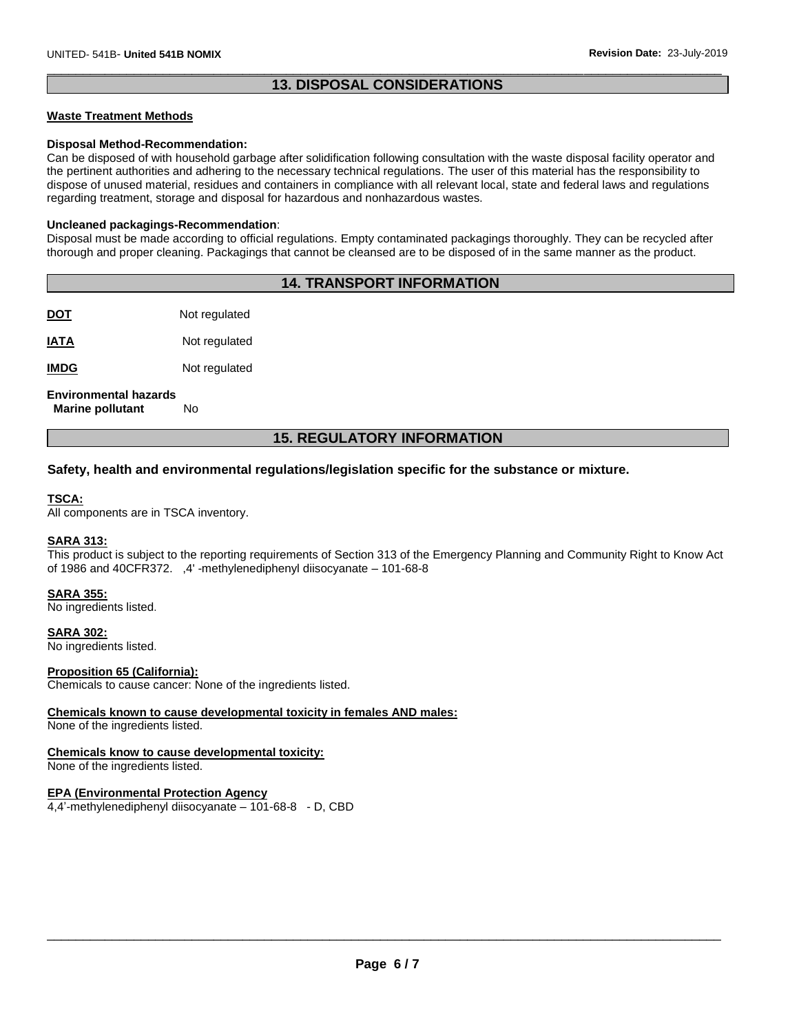## \_\_\_\_\_\_\_\_\_\_\_\_\_\_\_\_\_\_\_\_\_\_\_\_\_\_\_\_\_\_\_\_\_\_\_\_\_\_\_\_\_\_\_\_\_\_\_\_\_\_\_\_\_\_\_\_\_\_\_\_\_\_\_\_\_\_\_\_\_\_\_\_\_\_\_\_\_\_\_\_\_\_\_\_\_\_\_\_\_\_\_\_\_ **13. DISPOSAL CONSIDERATIONS**

#### **Waste Treatment Methods**

#### **Disposal Method-Recommendation:**

Can be disposed of with household garbage after solidification following consultation with the waste disposal facility operator and the pertinent authorities and adhering to the necessary technical regulations. The user of this material has the responsibility to dispose of unused material, residues and containers in compliance with all relevant local, state and federal laws and regulations regarding treatment, storage and disposal for hazardous and nonhazardous wastes.

#### **Uncleaned packagings-Recommendation**:

Disposal must be made according to official regulations. Empty contaminated packagings thoroughly. They can be recycled after thorough and proper cleaning. Packagings that cannot be cleansed are to be disposed of in the same manner as the product.

## **14. TRANSPORT INFORMATION**

**DOT** Not regulated

**IATA** Not regulated

**IMDG** Not regulated

## **Environmental hazards**

 **Marine pollutant** No

## **15. REGULATORY INFORMATION**

## **Safety, health and environmental regulations/legislation specific for the substance or mixture.**

#### **TSCA:**

All components are in TSCA inventory.

#### **SARA 313:**

This product is subject to the reporting requirements of Section 313 of the Emergency Planning and Community Right to Know Act of 1986 and 40CFR372. ,4' -methylenediphenyl diisocyanate – 101-68-8

#### **SARA 355:**

No ingredients listed.

**SARA 302:** No ingredients listed.

#### **Proposition 65 (California):**

Chemicals to cause cancer: None of the ingredients listed.

#### **Chemicals known to cause developmental toxicity in females AND males:**

None of the ingredients listed.

## **Chemicals know to cause developmental toxicity:**

None of the ingredients listed.

#### **EPA (Environmental Protection Agency**

4,4'-methylenediphenyl diisocyanate – 101-68-8 - D, CBD